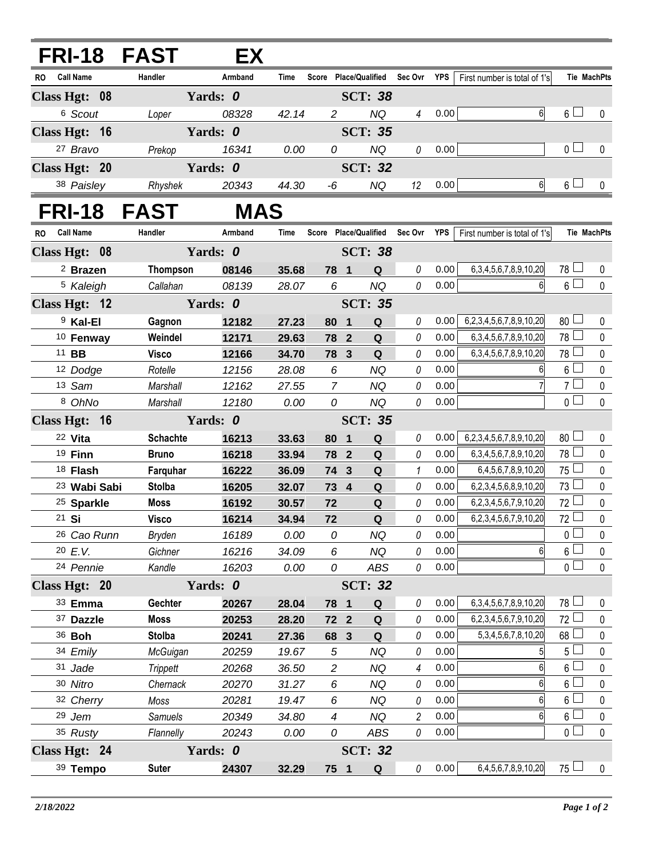| <b>FRI-18 FAST</b>      |                 | EX         |                |                |                         |                       |                |            |                                |                 |                    |
|-------------------------|-----------------|------------|----------------|----------------|-------------------------|-----------------------|----------------|------------|--------------------------------|-----------------|--------------------|
| <b>Call Name</b><br>RO  | Handler         | Armband    | Time           |                |                         | Score Place/Qualified | Sec Ovr        | <b>YPS</b> | First number is total of 1's   |                 | <b>Tie MachPts</b> |
| Class Hgt: 08           |                 | Yards: 0   | <b>SCT: 38</b> |                |                         |                       |                |            |                                |                 |                    |
| 6 Scout                 | Loper           | 08328      | 42.14          | $\overline{2}$ |                         | <b>NQ</b>             | $\overline{4}$ | 0.00       | 6                              | $6 \Box$        | 0                  |
| Class Hgt: 16           | Yards: 0        |            |                | <b>SCT: 35</b> |                         |                       |                |            |                                |                 |                    |
| 27 Bravo                | Prekop          | 16341      | 0.00           | 0              |                         | <b>NQ</b>             | 0              | 0.00       |                                | 0 <sub>l</sub>  | 0                  |
| Class Hgt: 20           |                 | Yards: 0   |                |                |                         | <b>SCT: 32</b>        |                |            |                                |                 |                    |
| 38 Paisley              | Rhyshek         | 20343      | 44.30          | -6             |                         | <b>NQ</b>             | 12             | 0.00       | 6                              | $6 \Box$        | 0                  |
| FRI-18 FAST             |                 | <b>MAS</b> |                |                |                         |                       |                |            |                                |                 |                    |
| <b>Call Name</b><br>RO  | Handler         | Armband    | Time           |                |                         | Score Place/Qualified | Sec Ovr        | <b>YPS</b> | First number is total of 1's   |                 | <b>Tie MachPts</b> |
| Class Hgt: 08           |                 | Yards: 0   | <b>SCT: 38</b> |                |                         |                       |                |            |                                |                 |                    |
| <sup>2</sup> Brazen     | Thompson        | 08146      | 35.68          |                | 78 1                    | ${\bf Q}$             | $\theta$       | 0.00       | 6, 3, 4, 5, 6, 7, 8, 9, 10, 20 | 78 ⊔            | 0                  |
| <sup>5</sup> Kaleigh    | Callahan        | 08139      | 28.07          | 6              |                         | <b>NQ</b>             | 0              | 0.00       |                                | $6\Box$         | $\mathbf 0$        |
| Class Hgt: 12           |                 | Yards: 0   |                |                |                         | <b>SCT: 35</b>        |                |            |                                |                 |                    |
| <sup>9</sup> Kal-El     | Gagnon          | 12182      | 27.23          | 80             | $\blacksquare$          | $\mathbf Q$           | 0              | 0.00       | 6,2,3,4,5,6,7,8,9,10,20        | 80 <sup>1</sup> | $\mathbf 0$        |
| <sup>10</sup> Fenway    | Weindel         | 12171      | 29.63          |                | 78 2                    | Q                     | $\theta$       | 0.00       | 6, 3, 4, 5, 6, 7, 8, 9, 10, 20 | 78 ⊔            | $\pmb{0}$          |
| 11 <b>BB</b>            | <b>Visco</b>    | 12166      | 34.70          |                | 78 3                    | Q                     | 0              | 0.00       | 6, 3, 4, 5, 6, 7, 8, 9, 10, 20 | 78              | $\pmb{0}$          |
| 12 Dodge                | Rotelle         | 12156      | 28.08          | 6              |                         | NQ                    | 0              | 0.00       | 6                              | $6 -$           | $\pmb{0}$          |
| 13 Sam                  | Marshall        | 12162      | 27.55          | $\overline{7}$ |                         | <b>NQ</b>             | 0              | 0.00       |                                | 7 <sup>1</sup>  | $\pmb{0}$          |
| 8 OhNo                  | Marshall        | 12180      | 0.00           | 0              |                         | <b>NQ</b>             | $\theta$       | 0.00       |                                | $\overline{0}$  | $\mathbf 0$        |
| Class Hgt: 16           |                 | Yards: 0   |                | <b>SCT: 35</b> |                         |                       |                |            |                                |                 |                    |
| 22 Vita                 | <b>Schachte</b> | 16213      | 33.63          | 80             | $\overline{\mathbf{1}}$ | ${\bf Q}$             | $\theta$       | 0.00       | 6,2,3,4,5,6,7,8,9,10,20        | 80              | 0                  |
| 19 Finn                 | <b>Bruno</b>    | 16218      | 33.94          |                | 78 2                    | $\mathbf Q$           | 0              | 0.00       | 6, 3, 4, 5, 6, 7, 8, 9, 10, 20 | $78 \Box$       | $\pmb{0}$          |
| 18 Flash                | Farquhar        | 16222      | 36.09          |                | 74 3                    | $\mathbf Q$           | $\mathbf{1}$   | 0.00       | 6,4,5,6,7,8,9,10,20            | $75 -$          | $\pmb{0}$          |
| <sup>23</sup> Wabi Sabi | <b>Stolba</b>   | 16205      | 32.07          |                | 73 4                    | ${\bf Q}$             | 0              | 0.00       | 6,2,3,4,5,6,8,9,10,20          | $73\Box$        | $\pmb{0}$          |
| <sup>25</sup> Sparkle   | <b>Moss</b>     | 16192      | 30.57          | 72             |                         | $\mathbf Q$           | 0              | 0.00       | 6,2,3,4,5,6,7,9,10,20          | 72              | $\pmb{0}$          |
| 21 Si                   | <b>Visco</b>    | 16214      | 34.94          | 72             |                         | $\mathbf Q$           | 0              | 0.00       | 6,2,3,4,5,6,7,9,10,20          | 72              | $\mathbf 0$        |
| 26 Cao Runn             | <b>Bryden</b>   | 16189      | 0.00           | 0              |                         | <b>NQ</b>             | 0              | 0.00       |                                | $\mathbf{0}$    | $\mathbf 0$        |
| 20 E.V.                 | Gichner         | 16216      | 34.09          | 6              |                         | <b>NQ</b>             | 0              | 0.00       | 6                              | $6\phantom{.0}$ | $\pmb{0}$          |
| 24 Pennie               | Kandle          | 16203      | 0.00           | 0              |                         | ABS                   | 0              | 0.00       |                                | $0 -$           | $\pmb{0}$          |
| Class Hgt: 20           |                 | Yards: 0   |                |                |                         | <b>SCT: 32</b>        |                |            |                                |                 |                    |
| 33 Emma                 | Gechter         | 20267      | 28.04          |                | 78 1                    | $\mathbf Q$           | 0              | 0.00       | 6, 3, 4, 5, 6, 7, 8, 9, 10, 20 | $78 \Box$       | 0                  |
| 37 Dazzle               | <b>Moss</b>     | 20253      | 28.20          |                | 72 2                    | $\mathbf Q$           | 0              | 0.00       | 6,2,3,4,5,6,7,9,10,20          | 72              | $\pmb{0}$          |
| 36 <b>Boh</b>           | <b>Stolba</b>   | 20241      | 27.36          |                | 68 3                    | Q                     | 0              | 0.00       | 5, 3, 4, 5, 6, 7, 8, 10, 20    | 68              | $\pmb{0}$          |
| 34 Emily                | McGuigan        | 20259      | 19.67          | $\sqrt{5}$     |                         | <b>NQ</b>             | 0              | 0.00       |                                | 5 <sup>1</sup>  | $\pmb{0}$          |
| 31 Jade                 | <b>Trippett</b> | 20268      | 36.50          | $\overline{c}$ |                         | <b>NQ</b>             | 4              | 0.00       | 6                              | $6\phantom{a}$  | $\pmb{0}$          |
| 30 Nitro                | Chernack        | 20270      | 31.27          | 6              |                         | <b>NQ</b>             | 0              | 0.00       | 6                              | $6\phantom{.0}$ | $\pmb{0}$          |
| 32 Cherry               | Moss            | 20281      | 19.47          | 6              |                         | <b>NQ</b>             | 0              | 0.00       | 6                              | $6\phantom{a}$  | $\pmb{0}$          |
| 29 Jem                  | Samuels         | 20349      | 34.80          | $\overline{4}$ |                         | <b>NQ</b>             | $\overline{2}$ | 0.00       | 6                              | $6\phantom{.0}$ | $\pmb{0}$          |
| 35 Rusty                | Flannelly       | 20243      | 0.00           | 0              |                         | ABS                   | 0              | 0.00       |                                | $\overline{0}$  | $\pmb{0}$          |
| Class Hgt: 24           |                 | Yards: 0   |                |                |                         | <b>SCT: 32</b>        |                |            |                                |                 |                    |
| 39 Tempo                | <b>Suter</b>    | 24307      | 32.29          |                | 75 1                    | $\mathbf Q$           | 0              | 0.00       | 6,4,5,6,7,8,9,10,20            | $75 \Box$       | $\mathbf 0$        |